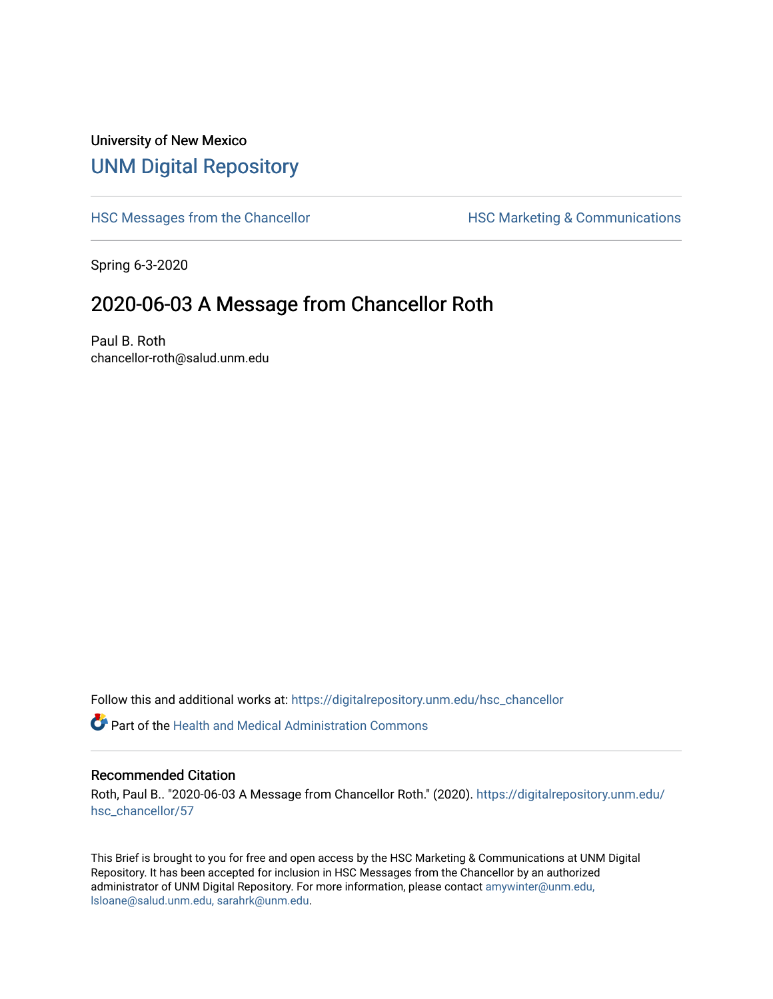## University of New Mexico [UNM Digital Repository](https://digitalrepository.unm.edu/)

[HSC Messages from the Chancellor](https://digitalrepository.unm.edu/hsc_chancellor) **HSC Marketing & Communications** 

Spring 6-3-2020

## 2020-06-03 A Message from Chancellor Roth

Paul B. Roth chancellor-roth@salud.unm.edu

Follow this and additional works at: [https://digitalrepository.unm.edu/hsc\\_chancellor](https://digitalrepository.unm.edu/hsc_chancellor?utm_source=digitalrepository.unm.edu%2Fhsc_chancellor%2F57&utm_medium=PDF&utm_campaign=PDFCoverPages) 

 $\bullet$  Part of the [Health and Medical Administration Commons](http://network.bepress.com/hgg/discipline/663?utm_source=digitalrepository.unm.edu%2Fhsc_chancellor%2F57&utm_medium=PDF&utm_campaign=PDFCoverPages)

## Recommended Citation

Roth, Paul B.. "2020-06-03 A Message from Chancellor Roth." (2020). [https://digitalrepository.unm.edu/](https://digitalrepository.unm.edu/hsc_chancellor/57?utm_source=digitalrepository.unm.edu%2Fhsc_chancellor%2F57&utm_medium=PDF&utm_campaign=PDFCoverPages) [hsc\\_chancellor/57](https://digitalrepository.unm.edu/hsc_chancellor/57?utm_source=digitalrepository.unm.edu%2Fhsc_chancellor%2F57&utm_medium=PDF&utm_campaign=PDFCoverPages) 

This Brief is brought to you for free and open access by the HSC Marketing & Communications at UNM Digital Repository. It has been accepted for inclusion in HSC Messages from the Chancellor by an authorized administrator of UNM Digital Repository. For more information, please contact [amywinter@unm.edu,](mailto:amywinter@unm.edu,%20lsloane@salud.unm.edu,%20sarahrk@unm.edu) [lsloane@salud.unm.edu, sarahrk@unm.edu.](mailto:amywinter@unm.edu,%20lsloane@salud.unm.edu,%20sarahrk@unm.edu)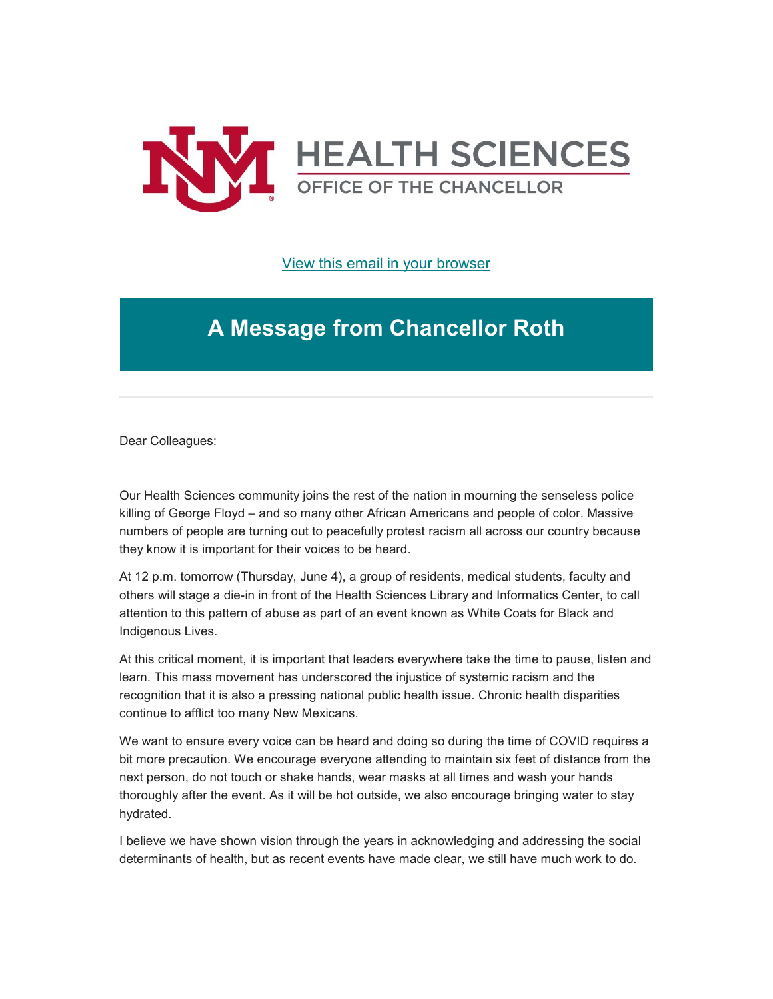

[View this email in your browser](https://mailchi.mp/2feac80fe5ff/message-from-the-chancellor-coronavirus-4429112?e=b4bbfca2c0)

## **A Message from Chancellor Roth**

Dear Colleagues:

Our Health Sciences community joins the rest of the nation in mourning the senseless police killing of George Floyd – and so many other African Americans and people of color. Massive numbers of people are turning out to peacefully protest racism all across our country because they know it is important for their voices to be heard.

At 12 p.m. tomorrow (Thursday, June 4), a group of residents, medical students, faculty and others will stage a die-in in front of the Health Sciences Library and Informatics Center, to call attention to this pattern of abuse as part of an event known as White Coats for Black and Indigenous Lives.

At this critical moment, it is important that leaders everywhere take the time to pause, listen and learn. This mass movement has underscored the injustice of systemic racism and the recognition that it is also a pressing national public health issue. Chronic health disparities continue to afflict too many New Mexicans.

We want to ensure every voice can be heard and doing so during the time of COVID requires a bit more precaution. We encourage everyone attending to maintain six feet of distance from the next person, do not touch or shake hands, wear masks at all times and wash your hands thoroughly after the event. As it will be hot outside, we also encourage bringing water to stay hydrated.

I believe we have shown vision through the years in acknowledging and addressing the social determinants of health, but as recent events have made clear, we still have much work to do.